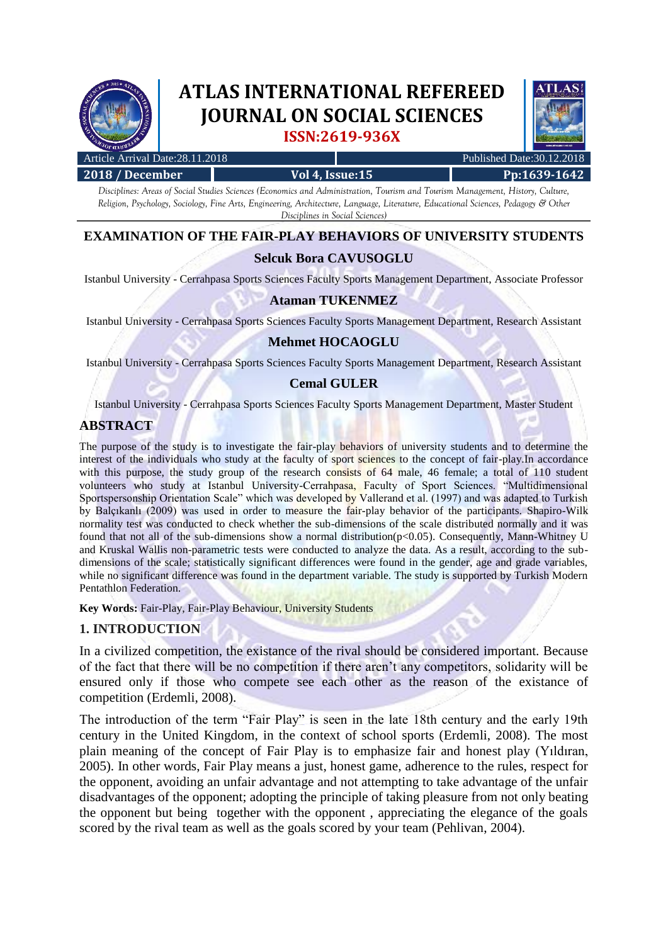

# **ATLAS INTERNATIONAL REFEREED JOURNAL ON SOCIAL SCIENCES ISSN:2619-936X**



| Article Arrival Date:28.11.2018 |                        | Published Date: 30.12.2018 |
|---------------------------------|------------------------|----------------------------|
| 2018 / December                 | <b>Vol 4, Issue:15</b> | Pp:1639-1642               |
|                                 |                        |                            |

*Disciplines: Areas of Social Studies Sciences (Economics and Administration, Tourism and Tourism Management, History, Culture, Religion, Psychology, Sociology, Fine Arts, Engineering, Architecture, Language, Literature, Educational Sciences, Pedagogy & Other Disciplines in Social Sciences)*

# **EXAMINATION OF THE FAIR-PLAY BEHAVIORS OF UNIVERSITY STUDENTS**

## **Selcuk Bora CAVUSOGLU**

Istanbul University - Cerrahpasa Sports Sciences Faculty Sports Management Department, Associate Professor

## **Ataman TUKENMEZ**

Istanbul University - Cerrahpasa Sports Sciences Faculty Sports Management Department, Research Assistant

## **Mehmet HOCAOGLU**

Istanbul University - Cerrahpasa Sports Sciences Faculty Sports Management Department, Research Assistant

#### **Cemal GULER**

Istanbul University - Cerrahpasa Sports Sciences Faculty Sports Management Department, Master Student

## **ABSTRACT**

The purpose of the study is to investigate the fair-play behaviors of university students and to determine the interest of the individuals who study at the faculty of sport sciences to the concept of fair-play.In accordance with this purpose, the study group of the research consists of 64 male, 46 female; a total of 110 student volunteers who study at Istanbul University-Cerrahpasa, Faculty of Sport Sciences. "Multidimensional Sportspersonship Orientation Scale" which was developed by Vallerand et al. (1997) and was adapted to Turkish by Balçıkanlı (2009) was used in order to measure the fair-play behavior of the participants. Shapiro-Wilk normality test was conducted to check whether the sub-dimensions of the scale distributed normally and it was found that not all of the sub-dimensions show a normal distribution(p<0.05). Consequently, Mann-Whitney U and Kruskal Wallis non-parametric tests were conducted to analyze the data. As a result, according to the subdimensions of the scale; statistically significant differences were found in the gender, age and grade variables, while no significant difference was found in the department variable. The study is supported by Turkish Modern Pentathlon Federation.

**Key Words:** Fair-Play, Fair-Play Behaviour, University Students

## **1. INTRODUCTION**

In a civilized competition, the existance of the rival should be considered important. Because of the fact that there will be no competition if there aren't any competitors, solidarity will be ensured only if those who compete see each other as the reason of the existance of competition (Erdemli, 2008).

The introduction of the term "Fair Play" is seen in the late 18th century and the early 19th century in the United Kingdom, in the context of school sports (Erdemli, 2008). The most plain meaning of the concept of Fair Play is to emphasize fair and honest play (Yıldıran, 2005). In other words, Fair Play means a just, honest game, adherence to the rules, respect for the opponent, avoiding an unfair advantage and not attempting to take advantage of the unfair disadvantages of the opponent; adopting the principle of taking pleasure from not only beating the opponent but being together with the opponent , appreciating the elegance of the goals scored by the rival team as well as the goals scored by your team (Pehlivan, 2004).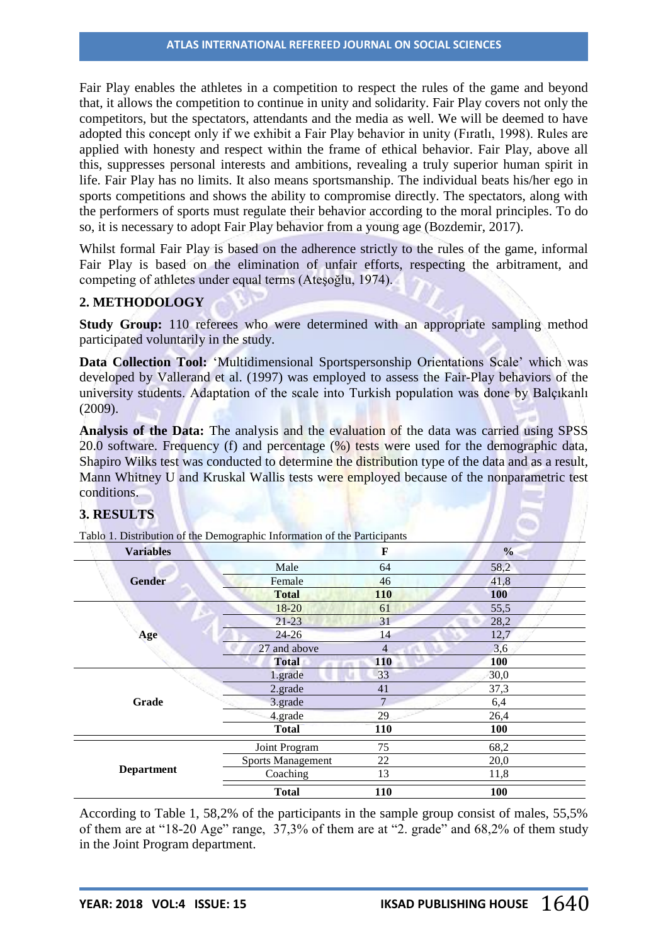Fair Play enables the athletes in a competition to respect the rules of the game and beyond that, it allows the competition to continue in unity and solidarity. Fair Play covers not only the competitors, but the spectators, attendants and the media as well. We will be deemed to have adopted this concept only if we exhibit a Fair Play behavior in unity (Fıratlı, 1998). Rules are applied with honesty and respect within the frame of ethical behavior. Fair Play, above all this, suppresses personal interests and ambitions, revealing a truly superior human spirit in life. Fair Play has no limits. It also means sportsmanship. The individual beats his/her ego in sports competitions and shows the ability to compromise directly. The spectators, along with the performers of sports must regulate their behavior according to the moral principles. To do so, it is necessary to adopt Fair Play behavior from a young age (Bozdemir, 2017).

Whilst formal Fair Play is based on the adherence strictly to the rules of the game, informal Fair Play is based on the elimination of unfair efforts, respecting the arbitrament, and competing of athletes under equal terms (Ateşoğlu, 1974).

## **2. METHODOLOGY**

**Study Group:** 110 referees who were determined with an appropriate sampling method participated voluntarily in the study.

**Data Collection Tool:** 'Multidimensional Sportspersonship Orientations Scale' which was developed by Vallerand et al. (1997) was employed to assess the Fair-Play behaviors of the university students. Adaptation of the scale into Turkish population was done by Balçıkanlı (2009).

**Analysis of the Data:** The analysis and the evaluation of the data was carried using SPSS 20.0 software. Frequency (f) and percentage (%) tests were used for the demographic data, Shapiro Wilks test was conducted to determine the distribution type of the data and as a result, Mann Whitney U and Kruskal Wallis tests were employed because of the nonparametric test conditions.

## **3. RESULTS**

**Variables F % Gender** Male 64 58,2 Female 46 41,8 **Total 110 100 Age** 18-20 61 61 55,5 21-23 31 28,2 24-26 14 12,7  $27$  and above  $4$   $3.6$ **Total 110 100 Grade** 1.grade 33 30,0 2.grade 41 37,3  $3.\text{grade}$   $7$   $6.4$ 4.grade 29 26,4 **Total 110 100 Department** Joint Program 75 68,2 Sports Management 22 20,0 Coaching  $13$   $11.8$ **Total 110 100**

Tablo 1. Distribution of the Demographic Information of the Participants

According to Table 1, 58,2% of the participants in the sample group consist of males, 55,5% of them are at "18-20 Age" range, 37,3% of them are at "2. grade" and 68,2% of them study in the Joint Program department.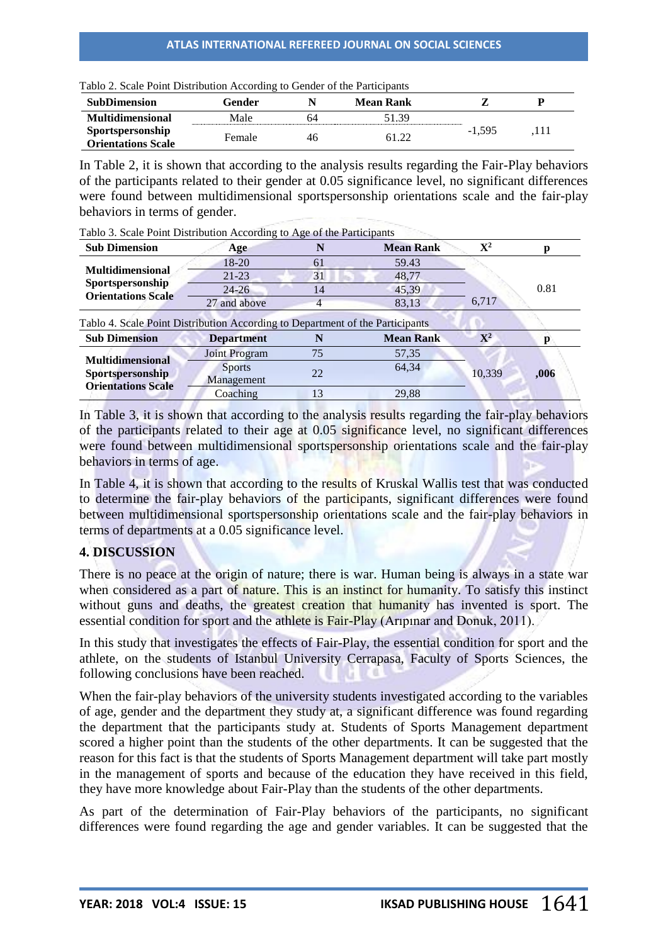| Tablo 2. Scale Point Distribution According to Gender of the Participants |        |    |           |          |      |  |
|---------------------------------------------------------------------------|--------|----|-----------|----------|------|--|
| <b>SubDimension</b>                                                       | Gender |    | Mean Rank |          |      |  |
| <b>Multidimensional</b>                                                   | Male   | 64 | 51.39     |          |      |  |
| Sportspersonship<br><b>Orientations Scale</b>                             | Female | 46 | 61.22     | $-1.595$ | .111 |  |

Tablo 2. Scale Point Distribution According to Gender of the Participants

In Table 2, it is shown that according to the analysis results regarding the Fair-Play behaviors of the participants related to their gender at 0.05 significance level, no significant differences were found between multidimensional sportspersonship orientations scale and the fair-play behaviors in terms of gender.

| <b>Sub Dimension</b>                                                          | Age                  |    | <b>Mean Rank</b> | ${\bf X}^2$ | р    |
|-------------------------------------------------------------------------------|----------------------|----|------------------|-------------|------|
| <b>Multidimensional</b><br>Sportspersonship<br><b>Orientations Scale</b>      | $18 - 20$            | 61 | 59.43            |             | 0.81 |
|                                                                               | $21 - 23$            | 31 | 48,77            |             |      |
|                                                                               | $24 - 26$            | 14 | 45,39            |             |      |
|                                                                               | 27 and above         | 4  | 83,13            | 6,717       |      |
|                                                                               |                      |    |                  |             |      |
| Tablo 4. Scale Point Distribution According to Department of the Participants |                      |    |                  |             |      |
| <b>Sub Dimension</b>                                                          | <b>Department</b>    |    | <b>Mean Rank</b> | ${\bf X}^2$ | р    |
|                                                                               | <b>Joint Program</b> | 75 | 57,35            |             |      |
| <b>Multidimensional</b>                                                       | <b>Sports</b>        |    | 64,34            |             |      |
| <b>Sportspersonship</b><br><b>Orientations Scale</b>                          | Management           | 22 |                  | 10,339      | ,006 |

Tablo 3. Scale Point Distribution According to Age of the Participants

In Table 3, it is shown that according to the analysis results regarding the fair-play behaviors of the participants related to their age at 0.05 significance level, no significant differences were found between multidimensional sportspersonship orientations scale and the fair-play behaviors in terms of age.

In Table 4, it is shown that according to the results of Kruskal Wallis test that was conducted to determine the fair-play behaviors of the participants, significant differences were found between multidimensional sportspersonship orientations scale and the fair-play behaviors in terms of departments at a 0.05 significance level.

## **4. DISCUSSION**

There is no peace at the origin of nature; there is war. Human being is always in a state war when considered as a part of nature. This is an instinct for humanity. To satisfy this instinct without guns and deaths, the greatest creation that humanity has invented is sport. The essential condition for sport and the athlete is Fair-Play (Arıpınar and Donuk, 2011).

In this study that investigates the effects of Fair-Play, the essential condition for sport and the athlete, on the students of Istanbul University Cerrapasa, Faculty of Sports Sciences, the following conclusions have been reached.

When the fair-play behaviors of the university students investigated according to the variables of age, gender and the department they study at, a significant difference was found regarding the department that the participants study at. Students of Sports Management department scored a higher point than the students of the other departments. It can be suggested that the reason for this fact is that the students of Sports Management department will take part mostly in the management of sports and because of the education they have received in this field, they have more knowledge about Fair-Play than the students of the other departments.

As part of the determination of Fair-Play behaviors of the participants, no significant differences were found regarding the age and gender variables. It can be suggested that the